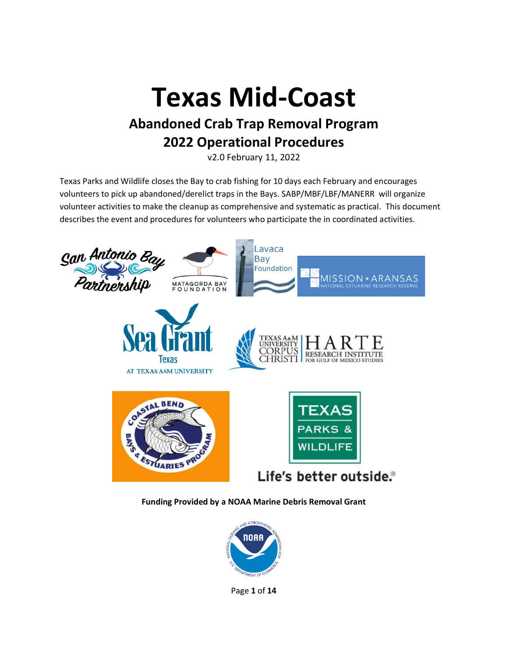# **Texas Mid-Coast Abandoned Crab Trap Removal Program 2022 Operational Procedures**

v2.0 February 11, 2022

Texas Parks and Wildlife closes the Bay to crab fishing for 10 days each February and encourages volunteers to pick up abandoned/derelict traps in the Bays. SABP/MBF/LBF/MANERR will organize volunteer activities to make the cleanup as comprehensive and systematic as practical. This document describes the event and procedures for volunteers who participate the in coordinated activities.



**Funding Provided by a NOAA Marine Debris Removal Grant**



Page **1** of **14**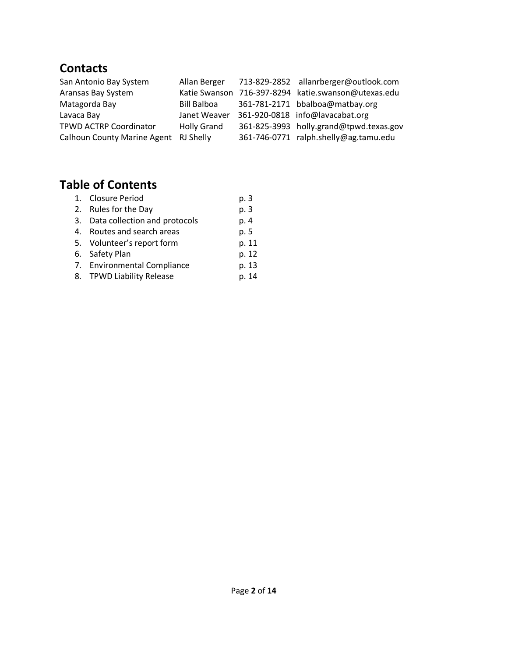## **Contacts**

| San Antonio Bay System                | Allan Berger       | 713-829-2852 allanrberger@outlook.com               |
|---------------------------------------|--------------------|-----------------------------------------------------|
| Aransas Bay System                    |                    | Katie Swanson 716-397-8294 katie.swanson@utexas.edu |
| Matagorda Bay                         | <b>Bill Balboa</b> | 361-781-2171 bbalboa@matbay.org                     |
| Lavaca Bay                            | Janet Weaver       | 361-920-0818 info@lavacabat.org                     |
| <b>TPWD ACTRP Coordinator</b>         | <b>Holly Grand</b> | 361-825-3993 holly.grand@tpwd.texas.gov             |
| Calhoun County Marine Agent RJ Shelly |                    | 361-746-0771 ralph.shelly@ag.tamu.edu               |

# **Table of Contents**

| 1. Closure Period                | p. 3  |
|----------------------------------|-------|
| 2. Rules for the Day             | p. 3  |
| 3. Data collection and protocols | p. 4  |
| 4. Routes and search areas       | p. 5  |
| 5. Volunteer's report form       | p. 11 |
| 6. Safety Plan                   | p. 12 |
| 7. Environmental Compliance      | p. 13 |
| 8. TPWD Liability Release        | p. 14 |
|                                  |       |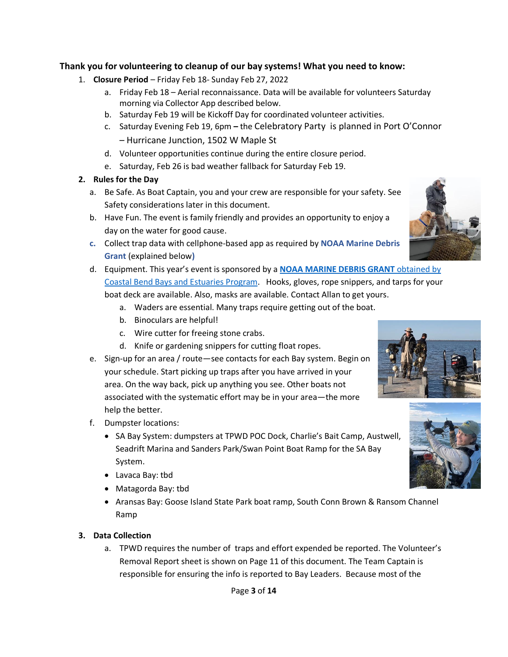#### **Thank you for volunteering to cleanup of our bay systems! What you need to know:**

- 1. **Closure Period** Friday Feb 18- Sunday Feb 27, 2022
	- a. Friday Feb 18 Aerial reconnaissance. Data will be available for volunteers Saturday morning via Collector App described below.
	- b. Saturday Feb 19 will be Kickoff Day for coordinated volunteer activities.
	- c. Saturday Evening Feb 19, 6pm **–** the Celebratory Party is planned in Port O'Connor – Hurricane Junction, 1502 W Maple St
	- d. Volunteer opportunities continue during the entire closure period.
	- e. Saturday, Feb 26 is bad weather fallback for Saturday Feb 19.

#### **2. Rules for the Day**

- a. Be Safe. As Boat Captain, you and your crew are responsible for your safety. See Safety considerations later in this document.
- b. Have Fun. The event is family friendly and provides an opportunity to enjoy a day on the water for good cause.
- **c.** Collect trap data with cellphone-based app as required by **NOAA Marine Debris Grant** (explained below**)**
- d. Equipment. This year's event is sponsored by a **[NOAA MARINE DEBRIS GRANT](https://blog.marinedebris.noaa.gov/noaa-marine-debris-program-awards-funding-23-new-projects-0)** obtained by [Coastal Bend Bays and Estuaries Program.](https://blog.marinedebris.noaa.gov/noaa-marine-debris-program-awards-funding-23-new-projects-0) Hooks, gloves, rope snippers, and tarps for your boat deck are available. Also, masks are available. Contact Allan to get yours.
	- a. Waders are essential. Many traps require getting out of the boat.
	- b. Binoculars are helpful!
	- c. Wire cutter for freeing stone crabs.
	- d. Knife or gardening snippers for cutting float ropes.
- e. Sign-up for an area / route—see contacts for each Bay system. Begin on your schedule. Start picking up traps after you have arrived in your area. On the way back, pick up anything you see. Other boats not associated with the systematic effort may be in your area—the more help the better.
- f. Dumpster locations:
	- SA Bay System: dumpsters at TPWD POC Dock, Charlie's Bait Camp, Austwell, Seadrift Marina and Sanders Park/Swan Point Boat Ramp for the SA Bay System.
	- Lavaca Bay: tbd
	- Matagorda Bay: tbd
	- Aransas Bay: Goose Island State Park boat ramp, South Conn Brown & Ransom Channel Ramp

#### **3. Data Collection**

a. TPWD requires the number of traps and effort expended be reported. The Volunteer's Removal Report sheet is shown on Page 11 of this document. The Team Captain is responsible for ensuring the info is reported to Bay Leaders. Because most of the



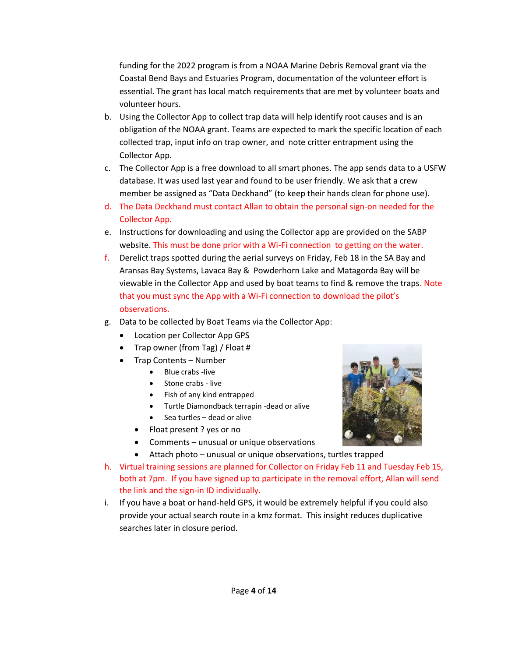funding for the 2022 program is from a NOAA Marine Debris Removal grant via the Coastal Bend Bays and Estuaries Program, documentation of the volunteer effort is essential. The grant has local match requirements that are met by volunteer boats and volunteer hours.

- b. Using the Collector App to collect trap data will help identify root causes and is an obligation of the NOAA grant. Teams are expected to mark the specific location of each collected trap, input info on trap owner, and note critter entrapment using the Collector App.
- c. The Collector App is a free download to all smart phones. The app sends data to a USFW database. It was used last year and found to be user friendly. We ask that a crew member be assigned as "Data Deckhand" (to keep their hands clean for phone use).
- d. The Data Deckhand must contact Allan to obtain the personal sign-on needed for the Collector App.
- e. Instructions for downloading and using the Collector app are provided on the SABP website. This must be done prior with a Wi-Fi connection to getting on the water.
- f. Derelict traps spotted during the aerial surveys on Friday, Feb 18 in the SA Bay and Aransas Bay Systems, Lavaca Bay & Powderhorn Lake and Matagorda Bay will be viewable in the Collector App and used by boat teams to find & remove the traps. Note that you must sync the App with a Wi-Fi connection to download the pilot's observations.
- g. Data to be collected by Boat Teams via the Collector App:
	- Location per Collector App GPS
	- Trap owner (from Tag) / Float #
	- Trap Contents Number
		- Blue crabs -live
		- Stone crabs live
		- Fish of any kind entrapped
		- Turtle Diamondback terrapin -dead or alive
		- Sea turtles dead or alive
		- Float present ? yes or no
		- Comments unusual or unique observations
		- Attach photo unusual or unique observations, turtles trapped
- h. Virtual training sessions are planned for Collector on Friday Feb 11 and Tuesday Feb 15, both at 7pm. If you have signed up to participate in the removal effort, Allan will send the link and the sign-in ID individually.
- i. If you have a boat or hand-held GPS, it would be extremely helpful if you could also provide your actual search route in a kmz format. This insight reduces duplicative searches later in closure period.

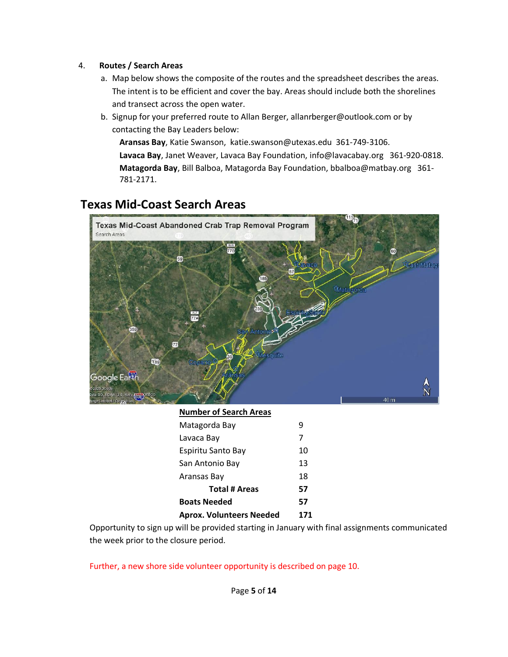#### 4. **Routes / Search Areas**

- a. Map below shows the composite of the routes and the spreadsheet describes the areas. The intent is to be efficient and cover the bay. Areas should include both the shorelines and transect across the open water.
- b. Signup for your preferred route to Allan Berger, allanrberger@outlook.com or by contacting the Bay Leaders below:

**Aransas Bay**, Katie Swanson, katie.swanson@utexas.edu 361-749-3106. **Lavaca Bay**, Janet Weaver, Lavaca Bay Foundation, info@lavacabay.org 361-920-0818. **Matagorda Bay**, Bill Balboa, Matagorda Bay Foundation, bbalboa@matbay.org 361- 781-2171.

# **Texas Mid-Coast Search Areas**



#### **Number of Search Areas**

| Matagorda Bay                   | q   |
|---------------------------------|-----|
| Lavaca Bay                      | 7   |
| Espiritu Santo Bay              | 10  |
| San Antonio Bay                 | 13  |
| Aransas Bay                     | 18  |
| <b>Total # Areas</b>            | 57  |
| <b>Boats Needed</b>             | 57  |
| <b>Aprox. Volunteers Needed</b> | 171 |

Opportunity to sign up will be provided starting in January with final assignments communicated the week prior to the closure period.

Further, a new shore side volunteer opportunity is described on page 10.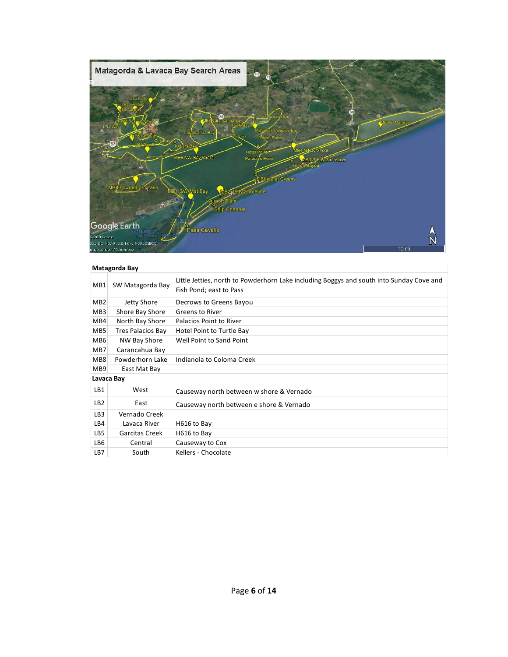

|                 | Matagorda Bay     |                                                                                                                     |
|-----------------|-------------------|---------------------------------------------------------------------------------------------------------------------|
| MB1             | SW Matagorda Bay  | Little Jetties, north to Powderhorn Lake including Boggys and south into Sunday Cove and<br>Fish Pond; east to Pass |
| MB <sub>2</sub> | Jetty Shore       | Decrows to Greens Bayou                                                                                             |
| MB <sub>3</sub> | Shore Bay Shore   | Greens to River                                                                                                     |
| MB4             | North Bay Shore   | Palacios Point to River                                                                                             |
| MB5             | Tres Palacios Bay | Hotel Point to Turtle Bay                                                                                           |
| MB <sub>6</sub> | NW Bay Shore      | Well Point to Sand Point                                                                                            |
| MB7             | Carancahua Bay    |                                                                                                                     |
| MB <sub>8</sub> | Powderhorn Lake   | Indianola to Coloma Creek                                                                                           |
| MB <sub>9</sub> | East Mat Bay      |                                                                                                                     |
|                 | Lavaca Bay        |                                                                                                                     |
| LB1             | West              | Causeway north between w shore & Vernado                                                                            |
| LB <sub>2</sub> | East              | Causeway north between e shore & Vernado                                                                            |
| LB <sub>3</sub> | Vernado Creek     |                                                                                                                     |
| LB4             | Lavaca River      | H616 to Bay                                                                                                         |
| LB <sub>5</sub> | Garcitas Creek    | H616 to Bay                                                                                                         |
| LB6             | Central           | Causeway to Cox                                                                                                     |
| LB7             | South             | Kellers - Chocolate                                                                                                 |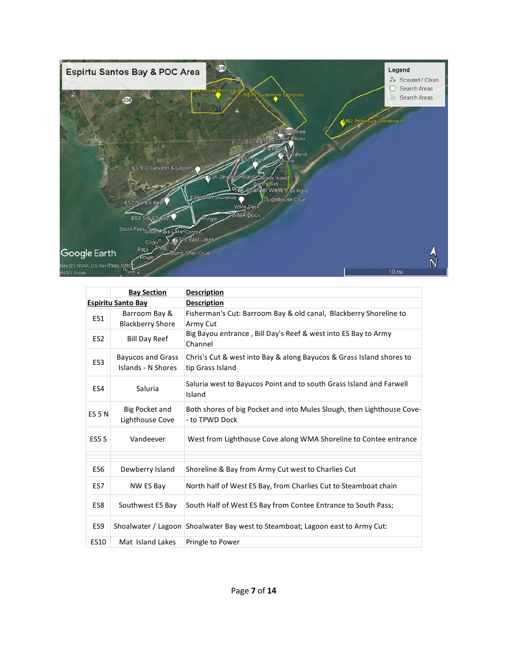

|                   | <b>Bay Section</b>                | <b>Description</b>                                                                       |
|-------------------|-----------------------------------|------------------------------------------------------------------------------------------|
|                   | <b>Espiritu Santo Bay</b>         | <b>Description</b>                                                                       |
| ES1               | Barroom Bay &                     | Fisherman's Cut: Barroom Bay & old canal, Blackberry Shoreline to                        |
|                   | <b>Blackberry Shore</b>           | Army Cut                                                                                 |
| ES <sub>2</sub>   | <b>Bill Day Reef</b>              | Big Bayou entrance, Bill Day's Reef & west into ES Bay to Army<br>Channel                |
| ES <sub>3</sub>   | <b>Bayucos and Grass</b>          | Chris's Cut & west into Bay & along Bayucos & Grass Island shores to                     |
|                   | Islands - N Shores                | tip Grass Island                                                                         |
| ES4               | Saluria                           | Saluria west to Bayucos Point and to south Grass Island and Farwell<br>Island            |
| ES <sub>5</sub> N | Big Pocket and<br>Lighthouse Cove | Both shores of big Pocket and into Mules Slough, then Lighthouse Cove-<br>- to TPWD Dock |
| ES <sub>5</sub> S | Vandeever                         | West from Lighthouse Cove along WMA Shoreline to Contee entrance                         |
|                   |                                   |                                                                                          |
| ES <sub>6</sub>   | Dewberry Island                   | Shoreline & Bay from Army Cut west to Charlies Cut                                       |
| ES7               | NW ES Bay                         | North half of West ES Bay, from Charlies Cut to Steamboat chain                          |
| ES8               | Southwest ES Bay                  | South Half of West ES Bay from Contee Entrance to South Pass;                            |
| ES9               |                                   | Shoalwater / Lagoon Shoalwater Bay west to Steamboat; Lagoon east to Army Cut:           |
| <b>ES10</b>       | Mat Island Lakes                  | Pringle to Power                                                                         |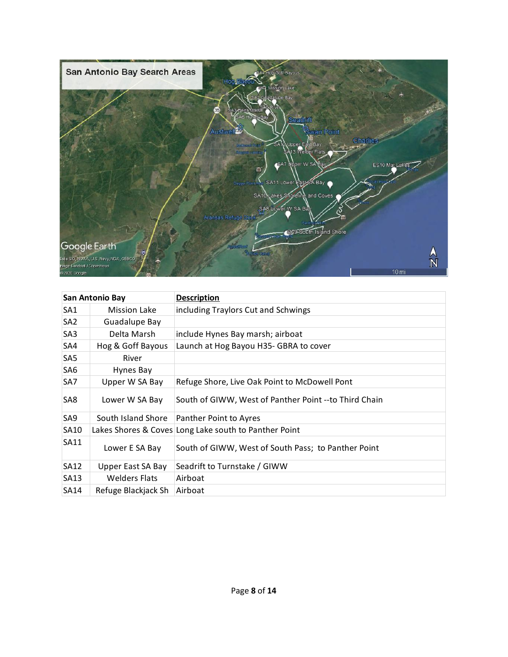

| San Antonio Bay |                      | <b>Description</b>                                    |
|-----------------|----------------------|-------------------------------------------------------|
| SA <sub>1</sub> | <b>Mission Lake</b>  | including Traylors Cut and Schwings                   |
| SA <sub>2</sub> | Guadalupe Bay        |                                                       |
| SA3             | Delta Marsh          | include Hynes Bay marsh; airboat                      |
| SA4             | Hog & Goff Bayous    | Launch at Hog Bayou H35- GBRA to cover                |
| SA <sub>5</sub> | River                |                                                       |
| SA6             | Hynes Bay            |                                                       |
| SA7             | Upper W SA Bay       | Refuge Shore, Live Oak Point to McDowell Pont         |
| SA8             | Lower W SA Bay       | South of GIWW, West of Panther Point --to Third Chain |
| SA9             | South Island Shore   | Panther Point to Ayres                                |
| <b>SA10</b>     |                      | Lakes Shores & Coves Long Lake south to Panther Point |
| SA11            | Lower E SA Bay       | South of GIWW, West of South Pass; to Panther Point   |
| <b>SA12</b>     | Upper East SA Bay    | Seadrift to Turnstake / GIWW                          |
| SA13            | <b>Welders Flats</b> | Airboat                                               |
| <b>SA14</b>     | Refuge Blackjack Sh  | Airboat                                               |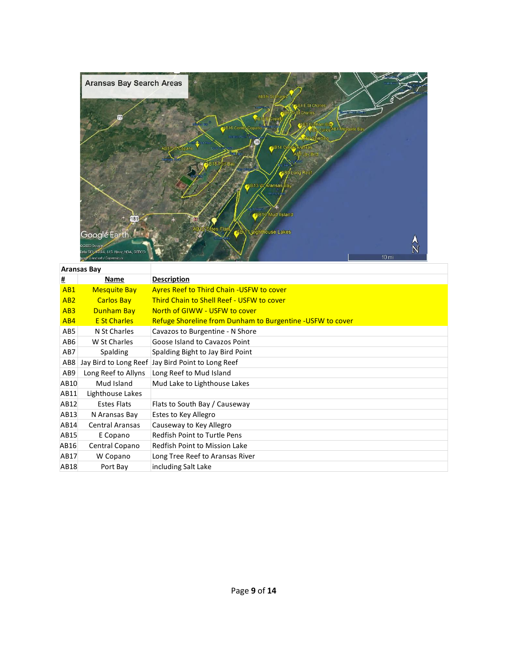

#### **Aransas Bay # Name Description** AB1 Mesquite Bay Ayres Reef to Third Chain -USFW to cover AB2 Carlos Bay Third Chain to Shell Reef - USFW to cover AB3 Dunham Bay North of GIWW - USFW to cover AB4 E St Charles Refuge Shoreline from Dunham to Burgentine -USFW to cover AB5 N St Charles Cavazos to Burgentine - N Shore AB6 W St Charles Goose Island to Cavazos Point AB7 Spalding Spalding Bight to Jay Bird Point AB8 Jay Bird to Long Reef Jay Bird Point to Long Reef AB9 Long Reef to Allyns Long Reef to Mud Island AB10 Mud Island Mud Lake to Lighthouse Lakes AB11 Lighthouse Lakes AB12 Estes Flats Flats to South Bay / Causeway AB13 N Aransas Bay Estes to Key Allegro AB14 Central Aransas Causeway to Key Allegro AB15 E Copano Redfish Point to Turtle Pens AB16 Central Copano Redfish Point to Mission Lake AB17 W Copano Long Tree Reef to Aransas River AB18 Port Bay including Salt Lake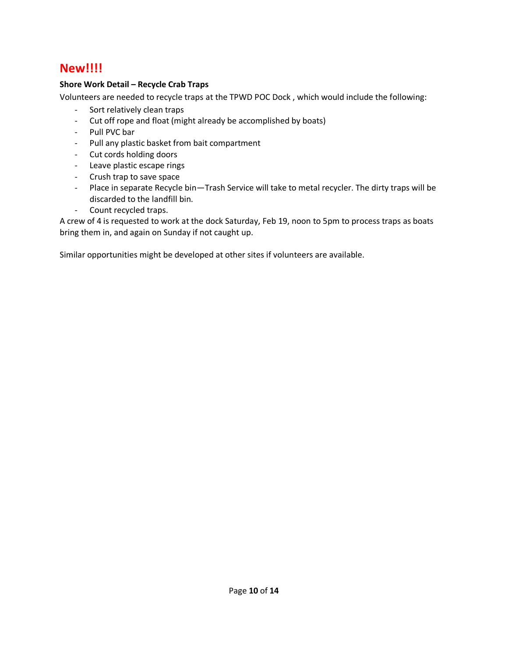### **New!!!!**

#### **Shore Work Detail – Recycle Crab Traps**

Volunteers are needed to recycle traps at the TPWD POC Dock , which would include the following:

- Sort relatively clean traps
- Cut off rope and float (might already be accomplished by boats)
- Pull PVC bar
- Pull any plastic basket from bait compartment
- Cut cords holding doors
- Leave plastic escape rings
- Crush trap to save space
- Place in separate Recycle bin—Trash Service will take to metal recycler. The dirty traps will be discarded to the landfill bin.
- Count recycled traps.

A crew of 4 is requested to work at the dock Saturday, Feb 19, noon to 5pm to process traps as boats bring them in, and again on Sunday if not caught up.

Similar opportunities might be developed at other sites if volunteers are available.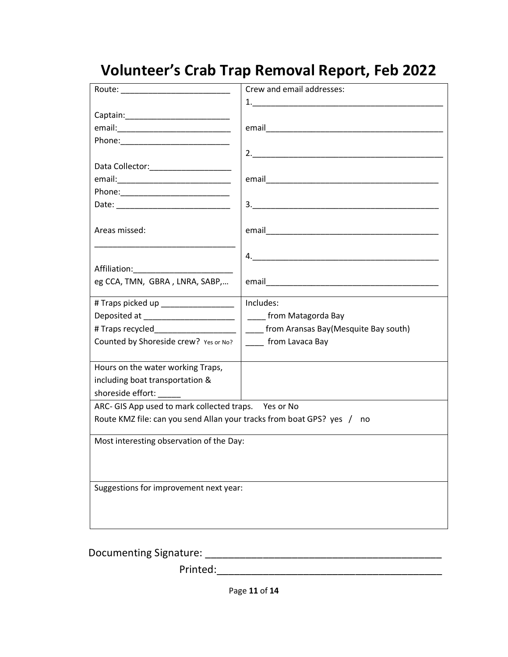# **Volunteer's Crab Trap Removal Report, Feb 2022**

| Crew and email addresses:                                              |
|------------------------------------------------------------------------|
| 1.                                                                     |
|                                                                        |
|                                                                        |
|                                                                        |
|                                                                        |
|                                                                        |
|                                                                        |
|                                                                        |
|                                                                        |
|                                                                        |
|                                                                        |
|                                                                        |
|                                                                        |
|                                                                        |
|                                                                        |
|                                                                        |
| Includes:                                                              |
| ___ from Matagorda Bay                                                 |
| from Aransas Bay(Mesquite Bay south)                                   |
| _____ from Lavaca Bay                                                  |
|                                                                        |
|                                                                        |
|                                                                        |
|                                                                        |
| ARC- GIS App used to mark collected traps.  Yes or No                  |
| Route KMZ file: can you send Allan your tracks from boat GPS? yes / no |
|                                                                        |
| Most interesting observation of the Day:                               |
|                                                                        |
|                                                                        |
| Suggestions for improvement next year:                                 |
|                                                                        |
|                                                                        |
|                                                                        |
|                                                                        |

Documenting Signature: \_\_\_\_\_\_\_\_\_\_\_\_\_\_\_\_\_\_\_\_\_\_\_\_\_\_\_\_\_\_\_\_\_\_\_\_\_\_\_\_\_

Printed:\_\_\_\_\_\_\_\_\_\_\_\_\_\_\_\_\_\_\_\_\_\_\_\_\_\_\_\_\_\_\_\_\_\_\_\_\_\_\_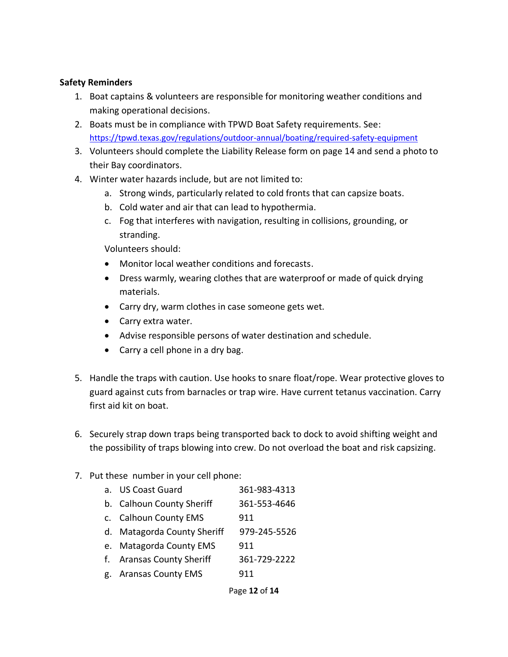#### **Safety Reminders**

- 1. Boat captains & volunteers are responsible for monitoring weather conditions and making operational decisions.
- 2. Boats must be in compliance with TPWD Boat Safety requirements. See: <https://tpwd.texas.gov/regulations/outdoor-annual/boating/required-safety-equipment>
- 3. Volunteers should complete the Liability Release form on page 14 and send a photo to their Bay coordinators.
- 4. Winter water hazards include, but are not limited to:
	- a. Strong winds, particularly related to cold fronts that can capsize boats.
	- b. Cold water and air that can lead to hypothermia.
	- c. Fog that interferes with navigation, resulting in collisions, grounding, or stranding.

Volunteers should:

- Monitor local weather conditions and forecasts.
- Dress warmly, wearing clothes that are waterproof or made of quick drying materials.
- Carry dry, warm clothes in case someone gets wet.
- Carry extra water.
- Advise responsible persons of water destination and schedule.
- Carry a cell phone in a dry bag.
- 5. Handle the traps with caution. Use hooks to snare float/rope. Wear protective gloves to guard against cuts from barnacles or trap wire. Have current tetanus vaccination. Carry first aid kit on boat.
- 6. Securely strap down traps being transported back to dock to avoid shifting weight and the possibility of traps blowing into crew. Do not overload the boat and risk capsizing.
- 7. Put these number in your cell phone:

| a. US Coast Guard           | 361-983-4313 |
|-----------------------------|--------------|
| b. Calhoun County Sheriff   | 361-553-4646 |
| c. Calhoun County EMS       | 911          |
| d. Matagorda County Sheriff | 979-245-5526 |
| e. Matagorda County EMS     | 911          |
| f. Aransas County Sheriff   | 361-729-2222 |
| g. Aransas County EMS       | 911          |
|                             |              |

Page **12** of **14**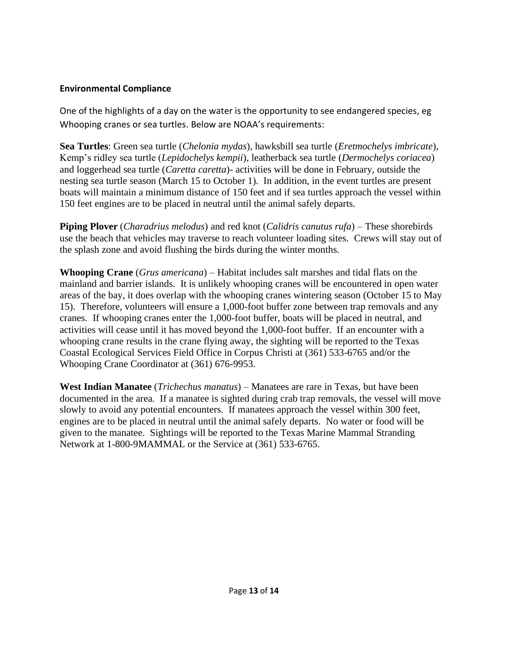#### **Environmental Compliance**

One of the highlights of a day on the water is the opportunity to see endangered species, eg Whooping cranes or sea turtles. Below are NOAA's requirements:

**Sea Turtles**: Green sea turtle (*Chelonia mydas*), hawksbill sea turtle (*Eretmochelys imbricate*), Kemp's ridley sea turtle (*Lepidochelys kempii*), leatherback sea turtle (*Dermochelys coriacea*) and loggerhead sea turtle (*Caretta caretta*)- activities will be done in February, outside the nesting sea turtle season (March 15 to October 1). In addition, in the event turtles are present boats will maintain a minimum distance of 150 feet and if sea turtles approach the vessel within 150 feet engines are to be placed in neutral until the animal safely departs.

**Piping Plover** (*Charadrius melodus*) and red knot (*Calidris canutus rufa*) – These shorebirds use the beach that vehicles may traverse to reach volunteer loading sites. Crews will stay out of the splash zone and avoid flushing the birds during the winter months.

**Whooping Crane** (*Grus americana*) – Habitat includes salt marshes and tidal flats on the mainland and barrier islands. It is unlikely whooping cranes will be encountered in open water areas of the bay, it does overlap with the whooping cranes wintering season (October 15 to May 15). Therefore, volunteers will ensure a 1,000-foot buffer zone between trap removals and any cranes. If whooping cranes enter the 1,000-foot buffer, boats will be placed in neutral, and activities will cease until it has moved beyond the 1,000-foot buffer. If an encounter with a whooping crane results in the crane flying away, the sighting will be reported to the Texas Coastal Ecological Services Field Office in Corpus Christi at (361) 533-6765 and/or the Whooping Crane Coordinator at (361) 676-9953.

**West Indian Manatee** (*Trichechus manatus*) – Manatees are rare in Texas, but have been documented in the area. If a manatee is sighted during crab trap removals, the vessel will move slowly to avoid any potential encounters. If manatees approach the vessel within 300 feet, engines are to be placed in neutral until the animal safely departs. No water or food will be given to the manatee. Sightings will be reported to the Texas Marine Mammal Stranding Network at 1-800-9MAMMAL or the Service at (361) 533-6765.